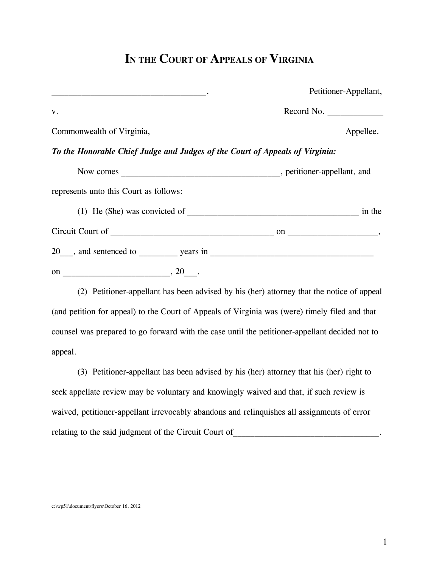## **IN THE COURT OF APPEALS OF VIRGINIA**

|                                                                              | Petitioner-Appellant, |  |
|------------------------------------------------------------------------------|-----------------------|--|
| V.                                                                           | Record No.            |  |
| Commonwealth of Virginia,                                                    | Appellee.             |  |
| To the Honorable Chief Judge and Judges of the Court of Appeals of Virginia: |                       |  |
|                                                                              |                       |  |
| represents unto this Court as follows:                                       |                       |  |
| (1) He (She) was convicted of                                                | in the                |  |
|                                                                              |                       |  |
| 20, and sentenced to years in                                                |                       |  |
|                                                                              |                       |  |

 (2) Petitioner-appellant has been advised by his (her) attorney that the notice of appeal (and petition for appeal) to the Court of Appeals of Virginia was (were) timely filed and that counsel was prepared to go forward with the case until the petitioner-appellant decided not to appeal.

 (3) Petitioner-appellant has been advised by his (her) attorney that his (her) right to seek appellate review may be voluntary and knowingly waived and that, if such review is waived, petitioner-appellant irrevocably abandons and relinquishes all assignments of error relating to the said judgment of the Circuit Court of  $\Box$ 

c:\wp51\document\flyers\October 16, 2012